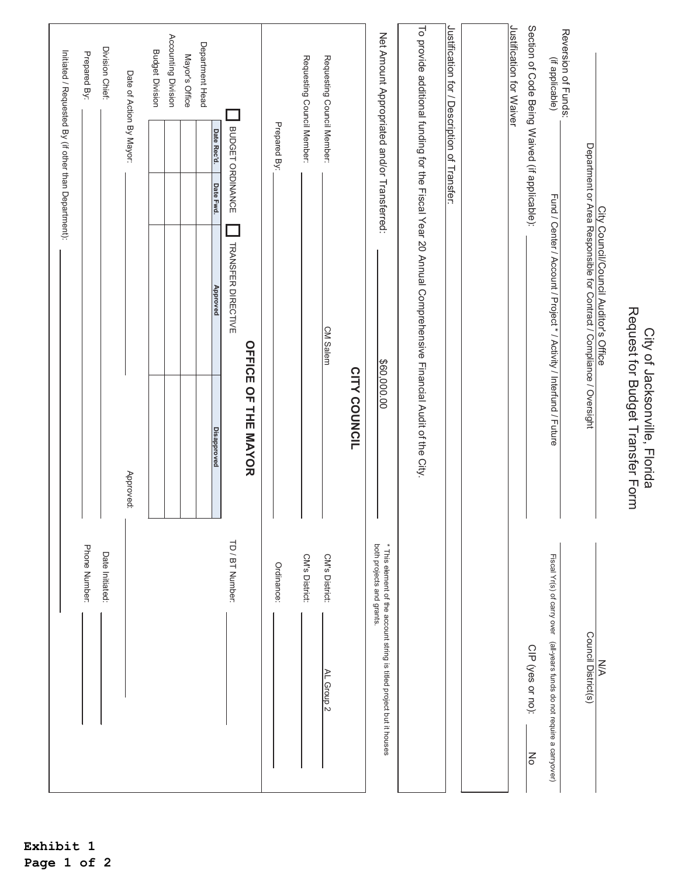|                                                                                                   |                                                                   |                                                                                                        | Initiated / Requested By (if other than Department): |                          |                                               |
|---------------------------------------------------------------------------------------------------|-------------------------------------------------------------------|--------------------------------------------------------------------------------------------------------|------------------------------------------------------|--------------------------|-----------------------------------------------|
| Phone Number:                                                                                     |                                                                   |                                                                                                        |                                                      |                          | Prepared By:                                  |
| Date Initiated:                                                                                   |                                                                   |                                                                                                        |                                                      |                          | Division Chief:                               |
|                                                                                                   | Approved:                                                         |                                                                                                        |                                                      | Date of Action By Mayor: |                                               |
|                                                                                                   |                                                                   |                                                                                                        |                                                      |                          | <b>Budget Division</b>                        |
|                                                                                                   |                                                                   |                                                                                                        |                                                      |                          | Accounting Division                           |
|                                                                                                   |                                                                   |                                                                                                        |                                                      |                          | Mayor's Office                                |
|                                                                                                   | <b>Disapproved</b>                                                | Approved                                                                                               | Date Fwd.                                            | Date Rec'd.              | Department Head                               |
| TD / BT Number:                                                                                   |                                                                   | TRANSFER DIRECTIVE                                                                                     |                                                      | BUDGET ORDINANCE         |                                               |
|                                                                                                   | OFFICE OF THE MAYOR                                               |                                                                                                        |                                                      |                          |                                               |
| Ordinance:                                                                                        |                                                                   |                                                                                                        |                                                      | Prepared By:             |                                               |
| CM's District:                                                                                    |                                                                   |                                                                                                        |                                                      |                          | Requesting Council Member:                    |
| CM's District:<br>AL Group 2                                                                      |                                                                   | <b>CM Salem</b>                                                                                        |                                                      |                          | Requesting Council Member:                    |
|                                                                                                   | <b>CITY COUNCIL</b>                                               |                                                                                                        |                                                      |                          |                                               |
| both projects and grants.<br>* This element of the account string is titled project but it houses | \$60,000.00                                                       |                                                                                                        |                                                      |                          | Net Amount Appropriated and/or Transferred:   |
|                                                                                                   |                                                                   | To provide additional funding for the Fiscal Year 20 Annual Comprehensive Financial Audit of the City. |                                                      |                          |                                               |
|                                                                                                   |                                                                   |                                                                                                        |                                                      |                          | Justification for / Description of Transfer:  |
|                                                                                                   |                                                                   |                                                                                                        |                                                      |                          |                                               |
|                                                                                                   |                                                                   |                                                                                                        |                                                      |                          | Justification for Waiver                      |
| CIP (yes or no):<br>$\overline{6}$                                                                |                                                                   |                                                                                                        |                                                      |                          | Section of Code Being Waived (if applicable): |
| Fiscal Yr(s) of carry over (dll-years funds do not require a carryover)                           |                                                                   | Fund / Center / Account / Project * / Activity / Interfund / Future                                    |                                                      |                          | Reversion of Funds:<br>(if applicable)        |
| Council District(s)                                                                               |                                                                   | Department or Area Responsible for Contract / Compliance / Oversight                                   |                                                      |                          |                                               |
| N/A                                                                                               |                                                                   | City Council/Council Auditor's Office                                                                  |                                                      |                          |                                               |
|                                                                                                   | Request for Budget Transfer Form<br>City of Jacksonville, Florida |                                                                                                        |                                                      |                          |                                               |